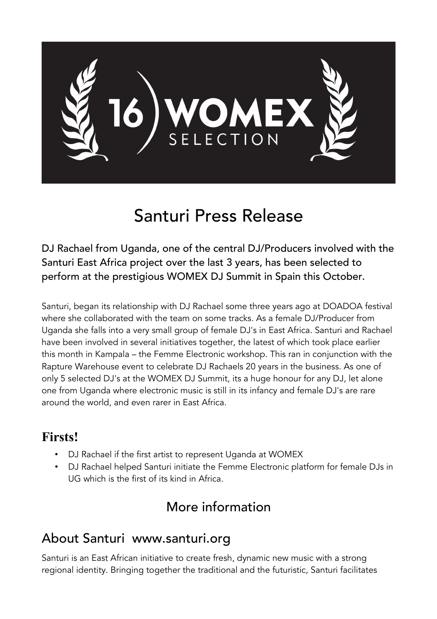

# Santuri Press Release

DJ Rachael from Uganda, one of the central DJ/Producers involved with the Santuri East Africa project over the last 3 years, has been selected to perform at the prestigious WOMEX DJ Summit in Spain this October.

Santuri, began its relationship with DJ Rachael some three years ago at DOADOA festival where she collaborated with the team on some tracks. As a female DJ/Producer from Uganda she falls into a very small group of female DJ's in East Africa. Santuri and Rachael have been involved in several initiatives together, the latest of which took place earlier this month in Kampala – the Femme Electronic workshop. This ran in conjunction with the Rapture Warehouse event to celebrate DJ Rachaels 20 years in the business. As one of only 5 selected DJ's at the WOMEX DJ Summit, its a huge honour for any DJ, let alone one from Uganda where electronic music is still in its infancy and female DJ's are rare around the world, and even rarer in East Africa.

#### **Firsts!**

- DJ Rachael if the first artist to represent Uganda at WOMEX
- DJ Rachael helped Santuri initiate the Femme Electronic platform for female DJs in UG which is the first of its kind in Africa.

## More information

## About Santuri www.santuri.org

Santuri is an East African initiative to create fresh, dynamic new music with a strong regional identity. Bringing together the traditional and the futuristic, Santuri facilitates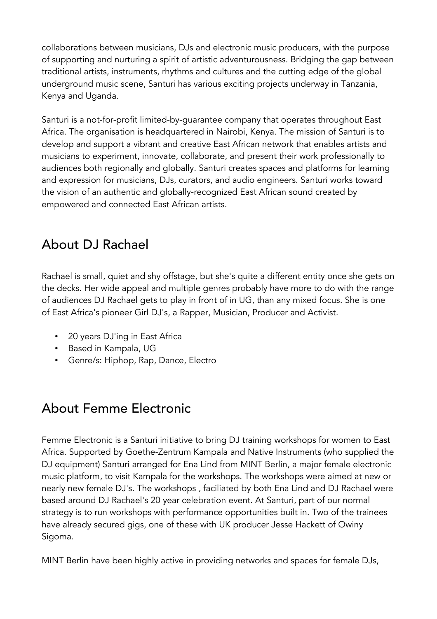collaborations between musicians, DJs and electronic music producers, with the purpose of supporting and nurturing a spirit of artistic adventurousness. Bridging the gap between traditional artists, instruments, rhythms and cultures and the cutting edge of the global underground music scene, Santuri has various exciting projects underway in Tanzania, Kenya and Uganda.

Santuri is a not-for-profit limited-by-guarantee company that operates throughout East Africa. The organisation is headquartered in Nairobi, Kenya. The mission of Santuri is to develop and support a vibrant and creative East African network that enables artists and musicians to experiment, innovate, collaborate, and present their work professionally to audiences both regionally and globally. Santuri creates spaces and platforms for learning and expression for musicians, DJs, curators, and audio engineers. Santuri works toward the vision of an authentic and globally-recognized East African sound created by empowered and connected East African artists.

### About DJ Rachael

Rachael is small, quiet and shy offstage, but she's quite a different entity once she gets on the decks. Her wide appeal and multiple genres probably have more to do with the range of audiences DJ Rachael gets to play in front of in UG, than any mixed focus. She is one of East Africa's pioneer Girl DJ's, a Rapper, Musician, Producer and Activist.

- 20 years DJ'ing in East Africa
- Based in Kampala, UG
- Genre/s: Hiphop, Rap, Dance, Electro

## About Femme Electronic

Femme Electronic is a Santuri initiative to bring DJ training workshops for women to East Africa. Supported by Goethe-Zentrum Kampala and Native Instruments (who supplied the DJ equipment) Santuri arranged for Ena Lind from MINT Berlin, a major female electronic music platform, to visit Kampala for the workshops. The workshops were aimed at new or nearly new female DJ's. The workshops , faciliated by both Ena Lind and DJ Rachael were based around DJ Rachael's 20 year celebration event. At Santuri, part of our normal strategy is to run workshops with performance opportunities built in. Two of the trainees have already secured gigs, one of these with UK producer Jesse Hackett of Owiny Sigoma.

MINT Berlin have been highly active in providing networks and spaces for female DJs,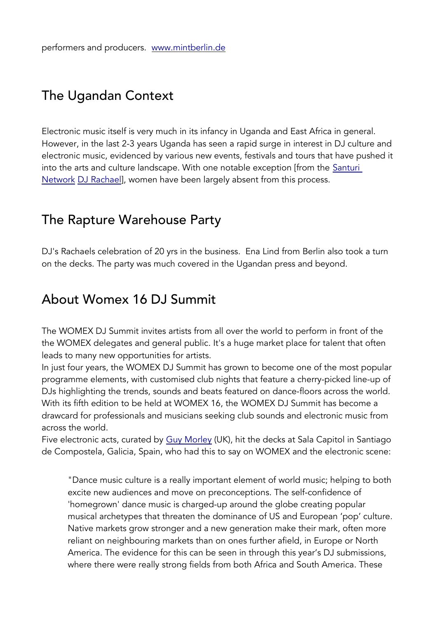### The Ugandan Context

Electronic music itself is very much in its infancy in Uganda and East Africa in general. However, in the last 2-3 years Uganda has seen a rapid surge in interest in DJ culture and electronic music, evidenced by various new events, festivals and tours that have pushed it into the arts and culture landscape. With one notable exception [from the Santuri [Network](http://www.santurisafari.org/?page_id=51) [DJ Rachael\]](http://www.santurisafari.org/?cpt_artist=john-doe-2), women have been largely absent from this process.

#### The Rapture Warehouse Party

DJ's Rachaels celebration of 20 yrs in the business. Ena Lind from Berlin also took a turn on the decks. The party was much covered in the Ugandan press and beyond.

#### About Womex 16 DJ Summit

The WOMEX DJ Summit invites artists from all over the world to perform in front of the the WOMEX delegates and general public. It's a huge market place for talent that often leads to many new opportunities for artists.

In just four years, the WOMEX DJ Summit has grown to become one of the most popular programme elements, with customised club nights that feature a cherry-picked line-up of DJs highlighting the trends, sounds and beats featured on dance-floors across the world. With its fifth edition to be held at WOMEX 16, the WOMEX DJ Summit has become a drawcard for professionals and musicians seeking club sounds and electronic music from across the world.

Five electronic acts, curated by [Guy Morley](http://www.womex.com/virtual/no_nation/member/guy_morley_1) (UK), hit the decks at Sala Capitol in Santiago de Compostela, Galicia, Spain, who had this to say on WOMEX and the electronic scene:

"Dance music culture is a really important element of world music; helping to both excite new audiences and move on preconceptions. The self-confidence of 'homegrown' dance music is charged-up around the globe creating popular musical archetypes that threaten the dominance of US and European 'pop' culture. Native markets grow stronger and a new generation make their mark, often more reliant on neighbouring markets than on ones further afield, in Europe or North America. The evidence for this can be seen in through this year's DJ submissions, where there were really strong fields from both Africa and South America. These